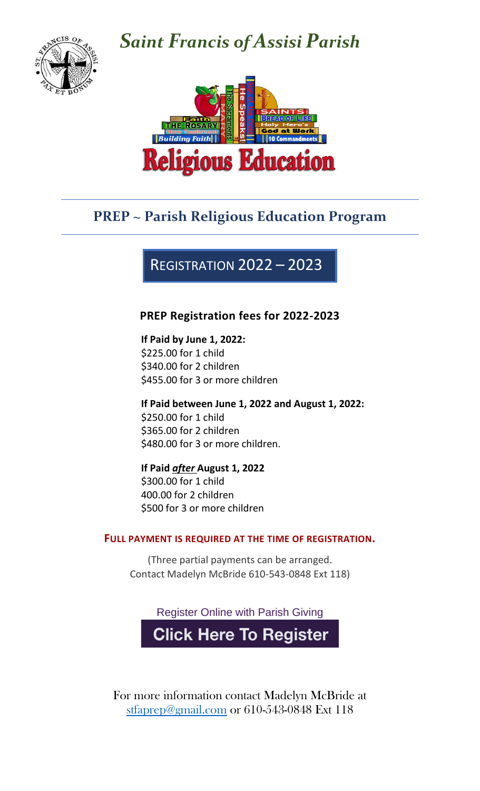

# *Saint Francis of Assisi Parish*



## **PREP ~ Parish Religious Education Program**

## REGISTRATION 2022 – 2023

### **PREP Registration fees for 2022-2023**

#### **If Paid by June 1, 2022:**

\$225.00 for 1 child \$340.00 for 2 children \$455.00 for 3 or more children

**If Paid between June 1, 2022 and August 1, 2022:** \$250.00 for 1 child \$365.00 for 2 children \$480.00 for 3 or more children.

### **If Paid** *after* **August 1, 2022**

\$300.00 for 1 child 400.00 for 2 children \$500 for 3 or more children

#### **FULL PAYMENT IS REQUIRED AT THE TIME OF REGISTRATION.**

(Three partial payments can be arranged. Contact Madelyn McBride 610-543-0848 Ext 118)

Register Online with Parish Giving

**Click Here To Register** 

For more information contact Madelyn McBride at [stfaprep@gmail.com](mailto:stfaprep@gmail.com) or 610-543-0848 Ext 118